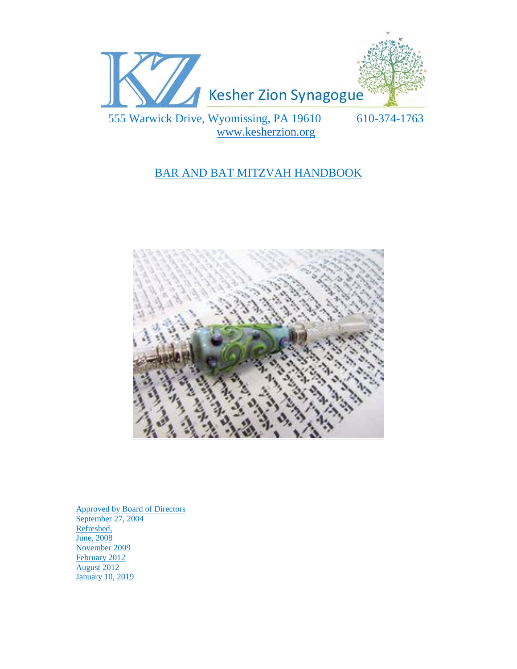

# BAR AND BAT MITZVAH HANDBOOK



Approved by Board of Directors September 27, 2004 Refreshed, June, 2008 November 2009 February 2012 August 2012 January 10, 2019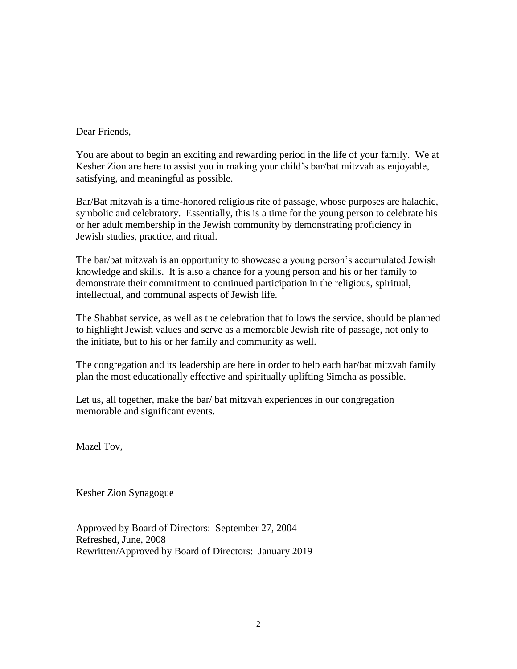#### Dear Friends,

You are about to begin an exciting and rewarding period in the life of your family. We at Kesher Zion are here to assist you in making your child's bar/bat mitzvah as enjoyable, satisfying, and meaningful as possible.

Bar/Bat mitzvah is a time-honored religiou**s** rite of passage, whose purposes are halachic*,* symbolic and celebratory. Essentially, this is a time for the young person to celebrate his or her adult membership in the Jewish community by demonstrating proficiency in Jewish studies, practice, and ritual.

The bar/bat mitzvah is an opportunity to showcase a young person's accumulated Jewish knowledge and skills. It is also a chance for a young person and his or her family to demonstrate their commitment to continued participation in the religious, spiritual, intellectual, and communal aspects of Jewish life.

The Shabbat service, as well as the celebration that follows the service, should be planned to highlight Jewish values and serve as a memorable Jewish rite of passage, not only to the initiate, but to his or her family and community as well.

The congregation and its leadership are here in order to help each bar/bat mitzvah family plan the most educationally effective and spiritually uplifting Simcha as possible.

Let us, all together, make the bar/ bat mitzvah experiences in our congregation memorable and significant events.

Mazel Tov,

Kesher Zion Synagogue

Approved by Board of Directors: September 27, 2004 Refreshed, June, 2008 Rewritten/Approved by Board of Directors: January 2019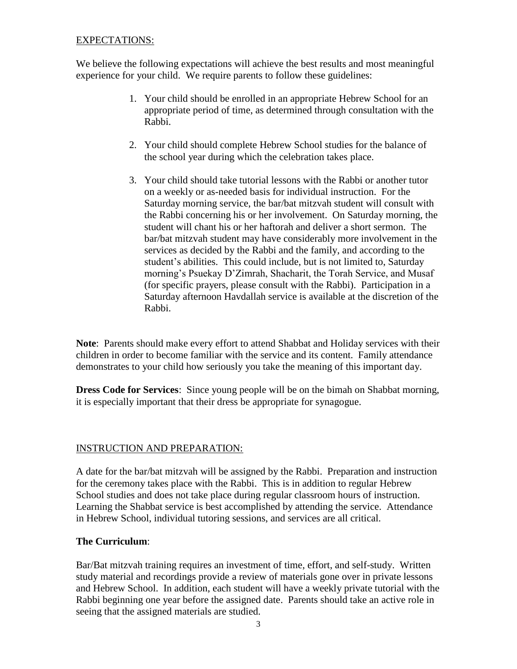#### EXPECTATIONS:

We believe the following expectations will achieve the best results and most meaningful experience for your child. We require parents to follow these guidelines:

- 1. Your child should be enrolled in an appropriate Hebrew School for an appropriate period of time, as determined through consultation with the Rabbi.
- 2. Your child should complete Hebrew School studies for the balance of the school year during which the celebration takes place.
- 3. Your child should take tutorial lessons with the Rabbi or another tutor on a weekly or as-needed basis for individual instruction. For the Saturday morning service, the bar/bat mitzvah student will consult with the Rabbi concerning his or her involvement. On Saturday morning, the student will chant his or her haftorah and deliver a short sermon. The bar/bat mitzvah student may have considerably more involvement in the services as decided by the Rabbi and the family, and according to the student's abilities. This could include, but is not limited to, Saturday morning's Psuekay D'Zimrah, Shacharit, the Torah Service, and Musaf (for specific prayers, please consult with the Rabbi). Participation in a Saturday afternoon Havdallah service is available at the discretion of the Rabbi.

**Note**: Parents should make every effort to attend Shabbat and Holiday services with their children in order to become familiar with the service and its content. Family attendance demonstrates to your child how seriously you take the meaning of this important day.

**Dress Code for Services**: Since young people will be on the bimah on Shabbat morning, it is especially important that their dress be appropriate for synagogue.

# INSTRUCTION AND PREPARATION:

A date for the bar/bat mitzvah will be assigned by the Rabbi. Preparation and instruction for the ceremony takes place with the Rabbi. This is in addition to regular Hebrew School studies and does not take place during regular classroom hours of instruction. Learning the Shabbat service is best accomplished by attending the service. Attendance in Hebrew School, individual tutoring sessions, and services are all critical.

#### **The Curriculum**:

Bar/Bat mitzvah training requires an investment of time, effort, and self-study. Written study material and recordings provide a review of materials gone over in private lessons and Hebrew School. In addition, each student will have a weekly private tutorial with the Rabbi beginning one year before the assigned date. Parents should take an active role in seeing that the assigned materials are studied.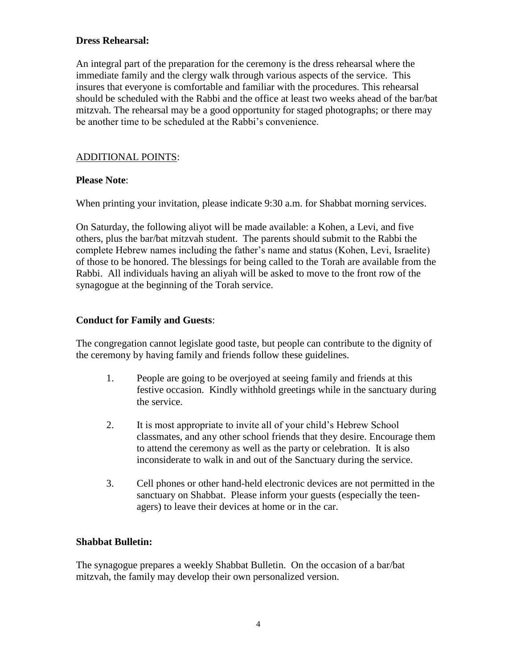#### **Dress Rehearsal:**

An integral part of the preparation for the ceremony is the dress rehearsal where the immediate family and the clergy walk through various aspects of the service. This insures that everyone is comfortable and familiar with the procedures. This rehearsal should be scheduled with the Rabbi and the office at least two weeks ahead of the bar/bat mitzvah. The rehearsal may be a good opportunity for staged photographs; or there may be another time to be scheduled at the Rabbi's convenience.

#### ADDITIONAL POINTS:

#### **Please Note**:

When printing your invitation, please indicate 9:30 a.m. for Shabbat morning services.

On Saturday, the following aliyot will be made available: a Kohen, a Levi, and five others, plus the bar/bat mitzvah student. The parents should submit to the Rabbi the complete Hebrew names including the father's name and status (Kohen, Levi, Israelite) of those to be honored. The blessings for being called to the Torah are available from the Rabbi. All individuals having an aliyah will be asked to move to the front row of the synagogue at the beginning of the Torah service.

#### **Conduct for Family and Guests**:

The congregation cannot legislate good taste, but people can contribute to the dignity of the ceremony by having family and friends follow these guidelines.

- 1. People are going to be overjoyed at seeing family and friends at this festive occasion. Kindly withhold greetings while in the sanctuary during the service.
- 2. It is most appropriate to invite all of your child's Hebrew School classmates, and any other school friends that they desire. Encourage them to attend the ceremony as well as the party or celebration. It is also inconsiderate to walk in and out of the Sanctuary during the service.
- 3. Cell phones or other hand-held electronic devices are not permitted in the sanctuary on Shabbat. Please inform your guests (especially the teenagers) to leave their devices at home or in the car.

# **Shabbat Bulletin:**

The synagogue prepares a weekly Shabbat Bulletin. On the occasion of a bar/bat mitzvah, the family may develop their own personalized version.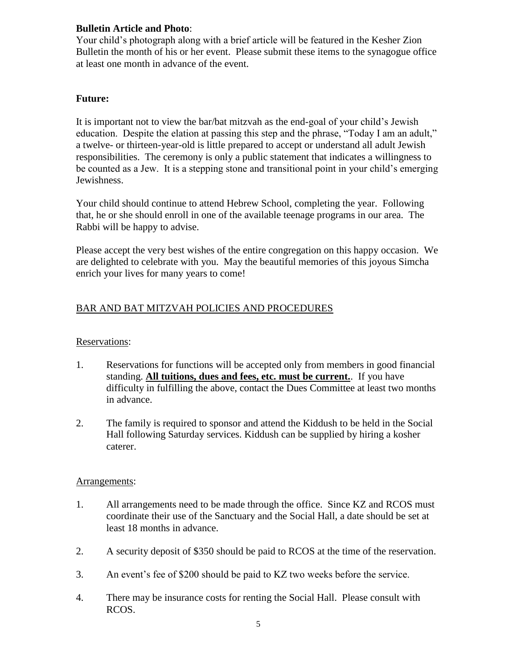#### **Bulletin Article and Photo**:

Your child's photograph along with a brief article will be featured in the Kesher Zion Bulletin the month of his or her event. Please submit these items to the synagogue office at least one month in advance of the event.

#### **Future:**

It is important not to view the bar/bat mitzvah as the end-goal of your child's Jewish education. Despite the elation at passing this step and the phrase, "Today I am an adult," a twelve- or thirteen-year-old is little prepared to accept or understand all adult Jewish responsibilities. The ceremony is only a public statement that indicates a willingness to be counted as a Jew. It is a stepping stone and transitional point in your child's emerging Jewishness.

Your child should continue to attend Hebrew School, completing the year. Following that, he or she should enroll in one of the available teenage programs in our area. The Rabbi will be happy to advise.

Please accept the very best wishes of the entire congregation on this happy occasion. We are delighted to celebrate with you. May the beautiful memories of this joyous Simcha enrich your lives for many years to come!

# BAR AND BAT MITZVAH POLICIES AND PROCEDURES

# Reservations:

- 1. Reservations for functions will be accepted only from members in good financial standing. **All tuitions, dues and fees, etc. must be current.**. If you have difficulty in fulfilling the above, contact the Dues Committee at least two months in advance.
- 2. The family is required to sponsor and attend the Kiddush to be held in the Social Hall following Saturday services. Kiddush can be supplied by hiring a kosher caterer.

#### Arrangements:

- 1. All arrangements need to be made through the office. Since KZ and RCOS must coordinate their use of the Sanctuary and the Social Hall, a date should be set at least 18 months in advance.
- 2. A security deposit of \$350 should be paid to RCOS at the time of the reservation.
- 3. An event's fee of \$200 should be paid to KZ two weeks before the service.
- 4. There may be insurance costs for renting the Social Hall. Please consult with RCOS.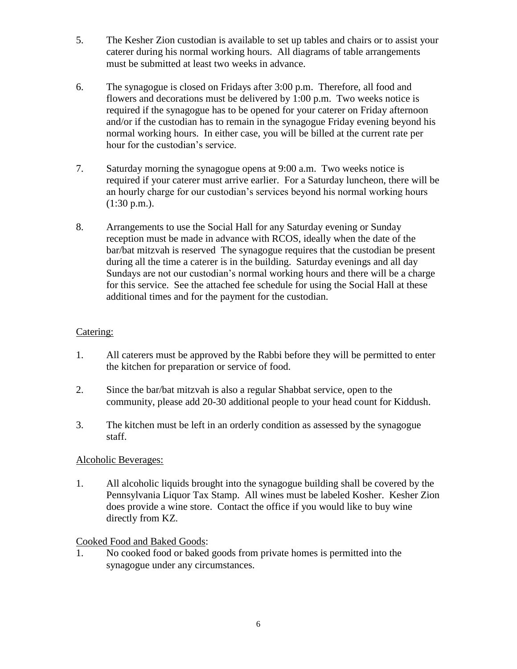- 5. The Kesher Zion custodian is available to set up tables and chairs or to assist your caterer during his normal working hours. All diagrams of table arrangements must be submitted at least two weeks in advance.
- 6. The synagogue is closed on Fridays after 3:00 p.m. Therefore, all food and flowers and decorations must be delivered by 1:00 p.m. Two weeks notice is required if the synagogue has to be opened for your caterer on Friday afternoon and/or if the custodian has to remain in the synagogue Friday evening beyond his normal working hours. In either case, you will be billed at the current rate per hour for the custodian's service.
- 7. Saturday morning the synagogue opens at 9:00 a.m. Two weeks notice is required if your caterer must arrive earlier. For a Saturday luncheon, there will be an hourly charge for our custodian's services beyond his normal working hours  $(1:30 \text{ p.m.}).$
- 8. Arrangements to use the Social Hall for any Saturday evening or Sunday reception must be made in advance with RCOS, ideally when the date of the bar/bat mitzvah is reserved The synagogue requires that the custodian be present during all the time a caterer is in the building. Saturday evenings and all day Sundays are not our custodian's normal working hours and there will be a charge for this service. See the attached fee schedule for using the Social Hall at these additional times and for the payment for the custodian.

# Catering:

- 1. All caterers must be approved by the Rabbi before they will be permitted to enter the kitchen for preparation or service of food.
- 2. Since the bar/bat mitzvah is also a regular Shabbat service, open to the community, please add 20-30 additional people to your head count for Kiddush.
- 3. The kitchen must be left in an orderly condition as assessed by the synagogue staff.

# Alcoholic Beverages:

1. All alcoholic liquids brought into the synagogue building shall be covered by the Pennsylvania Liquor Tax Stamp. All wines must be labeled Kosher. Kesher Zion does provide a wine store. Contact the office if you would like to buy wine directly from KZ.

# Cooked Food and Baked Goods:

1. No cooked food or baked goods from private homes is permitted into the synagogue under any circumstances.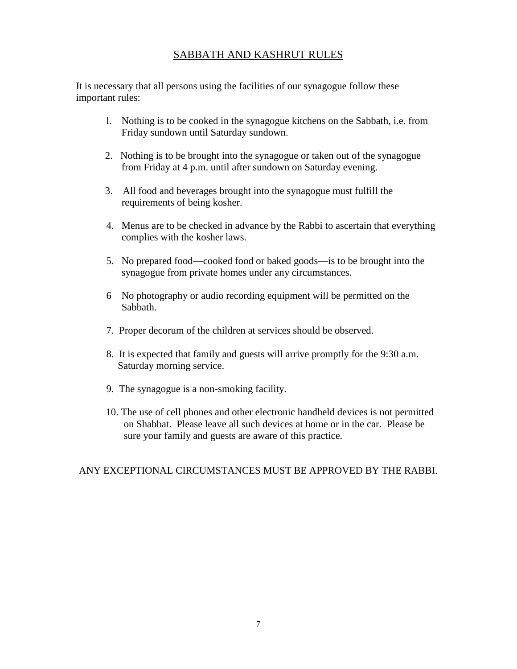# SABBATH AND KASHRUT RULES

It is necessary that all persons using the facilities of our synagogue follow these important rules:

- l. Nothing is to be cooked in the synagogue kitchens on the Sabbath, i.e. from Friday sundown until Saturday sundown.
- 2. Nothing is to be brought into the synagogue or taken out of the synagogue from Friday at 4 p.m. until after sundown on Saturday evening.
- 3. All food and beverages brought into the synagogue must fulfill the requirements of being kosher.
- 4. Menus are to be checked in advance by the Rabbi to ascertain that everything complies with the kosher laws.
- 5. No prepared food—cooked food or baked goods—is to be brought into the synagogue from private homes under any circumstances.
- 6 No photography or audio recording equipment will be permitted on the Sabbath.
- 7. Proper decorum of the children at services should be observed.
- 8. It is expected that family and guests will arrive promptly for the 9:30 a.m. Saturday morning service.
- 9. The synagogue is a non-smoking facility.
- 10. The use of cell phones and other electronic handheld devices is not permitted on Shabbat. Please leave all such devices at home or in the car. Please be sure your family and guests are aware of this practice.

# ANY EXCEPTIONAL CIRCUMSTANCES MUST BE APPROVED BY THE RABBI.